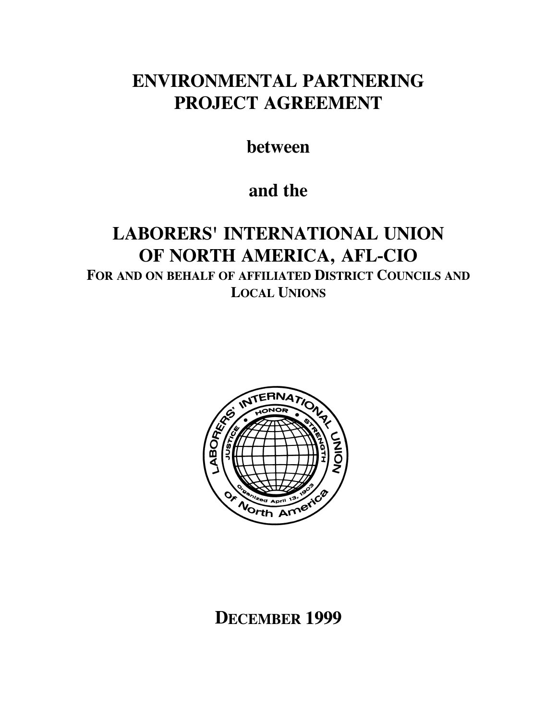# **ENVIRONMENTAL PARTNERING PROJECT AGREEMENT**

**between** 

## **and the**

# **LABORERS' INTERNATIONAL UNION OF NORTH AMERICA, AFL-CIO FOR AND ON BEHALF OF AFFILIATED DISTRICT COUNCILS AND LOCAL UNIONS**



# **DECEMBER 1999**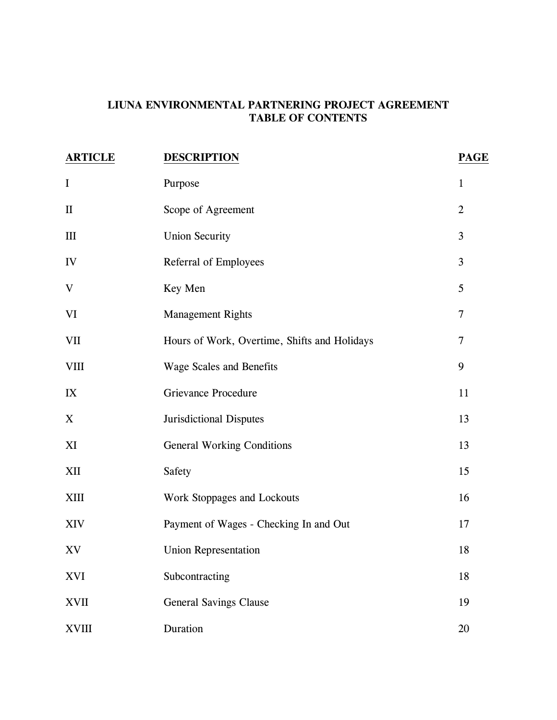### **LIUNA ENVIRONMENTAL PARTNERING PROJECT AGREEMENT TABLE OF CONTENTS**

| <b>ARTICLE</b> | <b>DESCRIPTION</b>                           | <b>PAGE</b>    |
|----------------|----------------------------------------------|----------------|
| $\mathbf I$    | Purpose                                      | $\mathbf{1}$   |
| $\mathbf{I}$   | Scope of Agreement                           | $\overline{2}$ |
| III            | <b>Union Security</b>                        | 3              |
| IV             | Referral of Employees                        | 3              |
| $\mathbf V$    | Key Men                                      | 5              |
| VI             | <b>Management Rights</b>                     | $\tau$         |
| VII            | Hours of Work, Overtime, Shifts and Holidays | $\overline{7}$ |
| <b>VIII</b>    | <b>Wage Scales and Benefits</b>              | 9              |
| IX             | <b>Grievance Procedure</b>                   | 11             |
| X              | <b>Jurisdictional Disputes</b>               | 13             |
| XI             | <b>General Working Conditions</b>            | 13             |
| XII            | Safety                                       | 15             |
| <b>XIII</b>    | Work Stoppages and Lockouts                  | 16             |
| XIV            | Payment of Wages - Checking In and Out       | 17             |
| XV             | <b>Union Representation</b>                  | 18             |
| <b>XVI</b>     | Subcontracting                               | 18             |
| <b>XVII</b>    | <b>General Savings Clause</b>                | 19             |
| <b>XVIII</b>   | Duration                                     | 20             |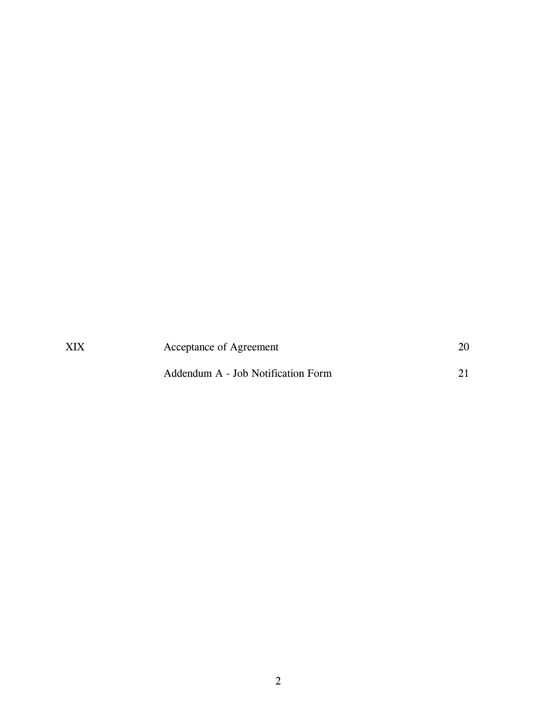| XIX | Acceptance of Agreement            |  |
|-----|------------------------------------|--|
|     | Addendum A - Job Notification Form |  |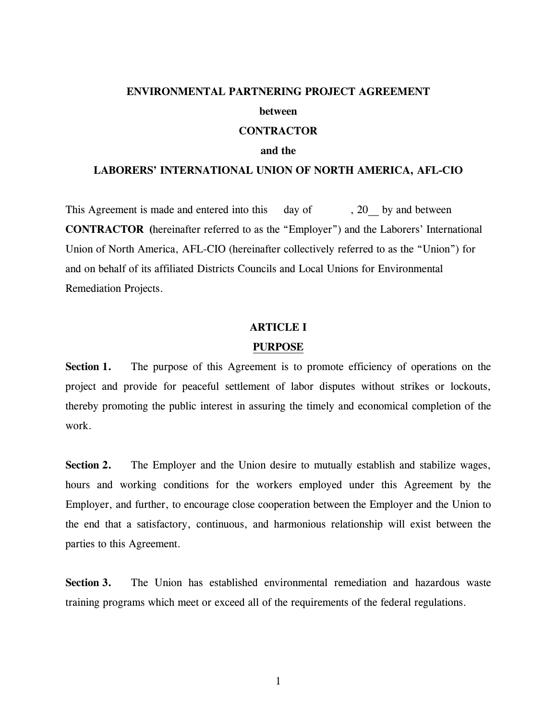#### **ENVIRONMENTAL PARTNERING PROJECT AGREEMENT**

#### **between**

#### **CONTRACTOR**

#### **and the**

#### **LABORERS' INTERNATIONAL UNION OF NORTH AMERICA, AFL-CIO**

This Agreement is made and entered into this day of , 20 by and between **CONTRACTOR (**hereinafter referred to as the "Employer") and the Laborers' International Union of North America, AFL-CIO (hereinafter collectively referred to as the "Union") for and on behalf of its affiliated Districts Councils and Local Unions for Environmental Remediation Projects.

#### **ARTICLE I**

#### **PURPOSE**

Section 1. The purpose of this Agreement is to promote efficiency of operations on the project and provide for peaceful settlement of labor disputes without strikes or lockouts, thereby promoting the public interest in assuring the timely and economical completion of the work.

Section 2. The Employer and the Union desire to mutually establish and stabilize wages, hours and working conditions for the workers employed under this Agreement by the Employer, and further, to encourage close cooperation between the Employer and the Union to the end that a satisfactory, continuous, and harmonious relationship will exist between the parties to this Agreement.

**Section 3.** The Union has established environmental remediation and hazardous waste training programs which meet or exceed all of the requirements of the federal regulations.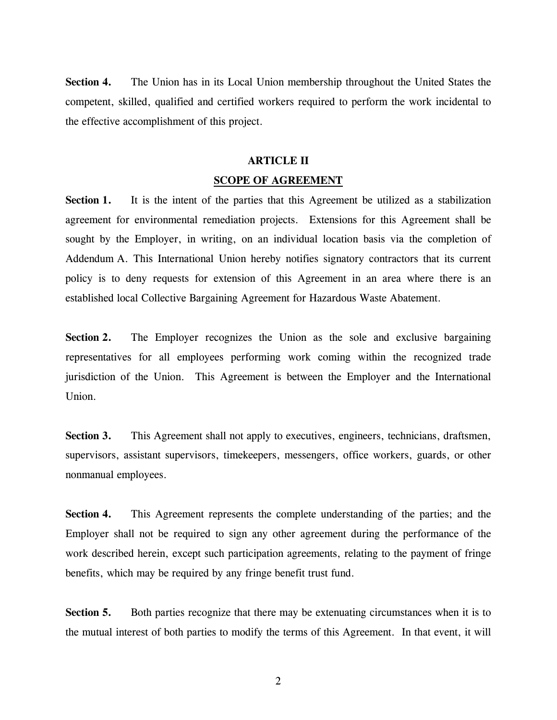**Section 4.** The Union has in its Local Union membership throughout the United States the competent, skilled, qualified and certified workers required to perform the work incidental to the effective accomplishment of this project.

#### **ARTICLE II**

#### **SCOPE OF AGREEMENT**

**Section 1.** It is the intent of the parties that this Agreement be utilized as a stabilization agreement for environmental remediation projects. Extensions for this Agreement shall be sought by the Employer, in writing, on an individual location basis via the completion of Addendum A. This International Union hereby notifies signatory contractors that its current policy is to deny requests for extension of this Agreement in an area where there is an established local Collective Bargaining Agreement for Hazardous Waste Abatement.

**Section 2.** The Employer recognizes the Union as the sole and exclusive bargaining representatives for all employees performing work coming within the recognized trade jurisdiction of the Union. This Agreement is between the Employer and the International Union.

**Section 3.** This Agreement shall not apply to executives, engineers, technicians, draftsmen, supervisors, assistant supervisors, timekeepers, messengers, office workers, guards, or other nonmanual employees.

**Section 4.** This Agreement represents the complete understanding of the parties; and the Employer shall not be required to sign any other agreement during the performance of the work described herein, except such participation agreements, relating to the payment of fringe benefits, which may be required by any fringe benefit trust fund.

**Section 5.** Both parties recognize that there may be extenuating circumstances when it is to the mutual interest of both parties to modify the terms of this Agreement. In that event, it will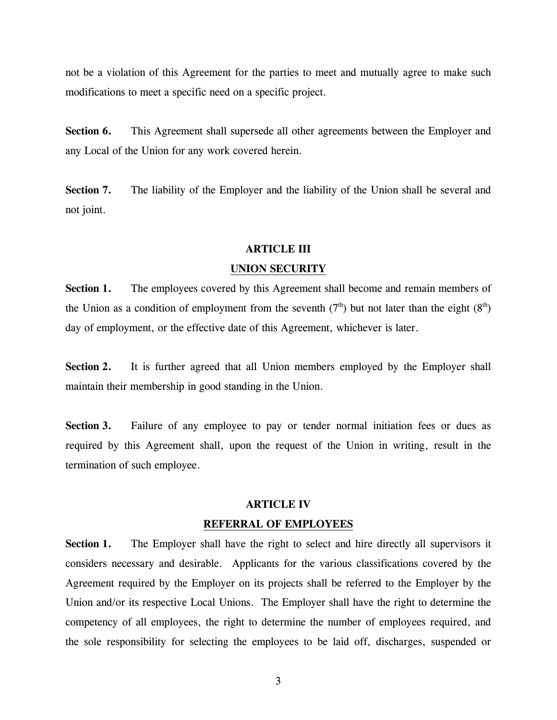not be a violation of this Agreement for the parties to meet and mutually agree to make such modifications to meet a specific need on a specific project.

**Section 6.** This Agreement shall supersede all other agreements between the Employer and any Local of the Union for any work covered herein.

**Section 7.** The liability of the Employer and the liability of the Union shall be several and not joint.

#### **ARTICLE III**

#### **UNION SECURITY**

**Section 1.** The employees covered by this Agreement shall become and remain members of the Union as a condition of employment from the seventh ( $7<sup>th</sup>$ ) but not later than the eight ( $8<sup>th</sup>$ ) day of employment, or the effective date of this Agreement, whichever is later.

**Section 2.** It is further agreed that all Union members employed by the Employer shall maintain their membership in good standing in the Union.

**Section 3.** Failure of any employee to pay or tender normal initiation fees or dues as required by this Agreement shall, upon the request of the Union in writing, result in the termination of such employee.

#### **ARTICLE IV**

#### **REFERRAL OF EMPLOYEES**

**Section 1.** The Employer shall have the right to select and hire directly all supervisors it considers necessary and desirable. Applicants for the various classifications covered by the Agreement required by the Employer on its projects shall be referred to the Employer by the Union and/or its respective Local Unions. The Employer shall have the right to determine the competency of all employees, the right to determine the number of employees required, and the sole responsibility for selecting the employees to be laid off, discharges, suspended or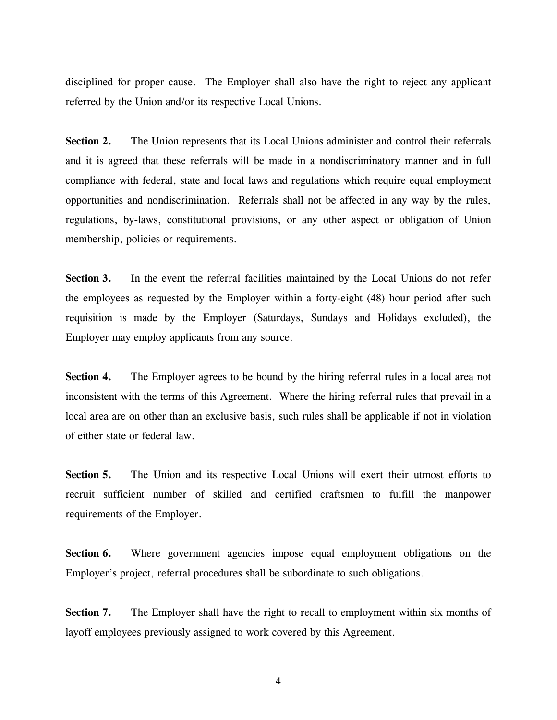disciplined for proper cause. The Employer shall also have the right to reject any applicant referred by the Union and/or its respective Local Unions.

**Section 2.** The Union represents that its Local Unions administer and control their referrals and it is agreed that these referrals will be made in a nondiscriminatory manner and in full compliance with federal, state and local laws and regulations which require equal employment opportunities and nondiscrimination. Referrals shall not be affected in any way by the rules, regulations, by-laws, constitutional provisions, or any other aspect or obligation of Union membership, policies or requirements.

**Section 3.** In the event the referral facilities maintained by the Local Unions do not refer the employees as requested by the Employer within a forty-eight (48) hour period after such requisition is made by the Employer (Saturdays, Sundays and Holidays excluded), the Employer may employ applicants from any source.

**Section 4.** The Employer agrees to be bound by the hiring referral rules in a local area not inconsistent with the terms of this Agreement. Where the hiring referral rules that prevail in a local area are on other than an exclusive basis, such rules shall be applicable if not in violation of either state or federal law.

Section 5. The Union and its respective Local Unions will exert their utmost efforts to recruit sufficient number of skilled and certified craftsmen to fulfill the manpower requirements of the Employer.

**Section 6.** Where government agencies impose equal employment obligations on the Employer's project, referral procedures shall be subordinate to such obligations.

**Section 7.** The Employer shall have the right to recall to employment within six months of layoff employees previously assigned to work covered by this Agreement.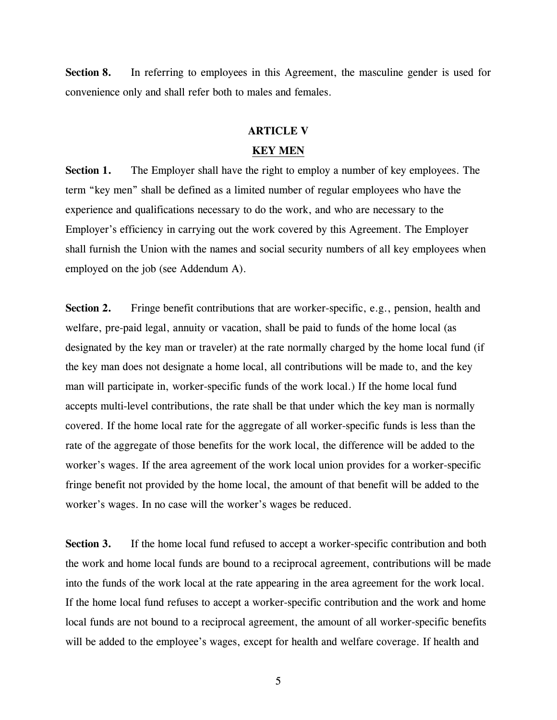**Section 8.** In referring to employees in this Agreement, the masculine gender is used for convenience only and shall refer both to males and females.

#### **ARTICLE V**

#### **KEY MEN**

**Section 1.** The Employer shall have the right to employ a number of key employees. The term "key men" shall be defined as a limited number of regular employees who have the experience and qualifications necessary to do the work, and who are necessary to the Employer's efficiency in carrying out the work covered by this Agreement. The Employer shall furnish the Union with the names and social security numbers of all key employees when employed on the job (see Addendum A).

**Section 2.** Fringe benefit contributions that are worker-specific, e.g., pension, health and welfare, pre-paid legal, annuity or vacation, shall be paid to funds of the home local (as designated by the key man or traveler) at the rate normally charged by the home local fund (if the key man does not designate a home local, all contributions will be made to, and the key man will participate in, worker-specific funds of the work local.) If the home local fund accepts multi-level contributions, the rate shall be that under which the key man is normally covered. If the home local rate for the aggregate of all worker-specific funds is less than the rate of the aggregate of those benefits for the work local, the difference will be added to the worker's wages. If the area agreement of the work local union provides for a worker-specific fringe benefit not provided by the home local, the amount of that benefit will be added to the worker's wages. In no case will the worker's wages be reduced.

**Section 3.** If the home local fund refused to accept a worker-specific contribution and both the work and home local funds are bound to a reciprocal agreement, contributions will be made into the funds of the work local at the rate appearing in the area agreement for the work local. If the home local fund refuses to accept a worker-specific contribution and the work and home local funds are not bound to a reciprocal agreement, the amount of all worker-specific benefits will be added to the employee's wages, except for health and welfare coverage. If health and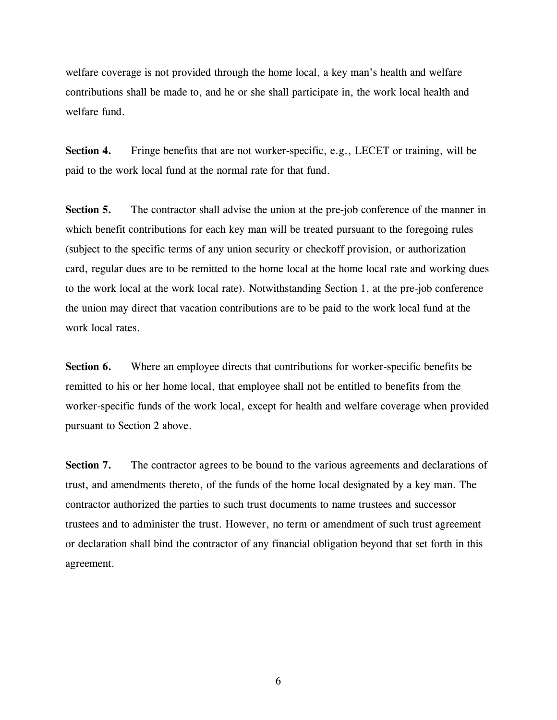welfare coverage is not provided through the home local, a key man's health and welfare contributions shall be made to, and he or she shall participate in, the work local health and welfare fund.

**Section 4.** Fringe benefits that are not worker-specific, e.g., LECET or training, will be paid to the work local fund at the normal rate for that fund.

**Section 5.** The contractor shall advise the union at the pre-job conference of the manner in which benefit contributions for each key man will be treated pursuant to the foregoing rules (subject to the specific terms of any union security or checkoff provision, or authorization card, regular dues are to be remitted to the home local at the home local rate and working dues to the work local at the work local rate). Notwithstanding Section 1, at the pre-job conference the union may direct that vacation contributions are to be paid to the work local fund at the work local rates.

**Section 6.** Where an employee directs that contributions for worker-specific benefits be remitted to his or her home local, that employee shall not be entitled to benefits from the worker-specific funds of the work local, except for health and welfare coverage when provided pursuant to Section 2 above.

Section 7. The contractor agrees to be bound to the various agreements and declarations of trust, and amendments thereto, of the funds of the home local designated by a key man. The contractor authorized the parties to such trust documents to name trustees and successor trustees and to administer the trust. However, no term or amendment of such trust agreement or declaration shall bind the contractor of any financial obligation beyond that set forth in this agreement.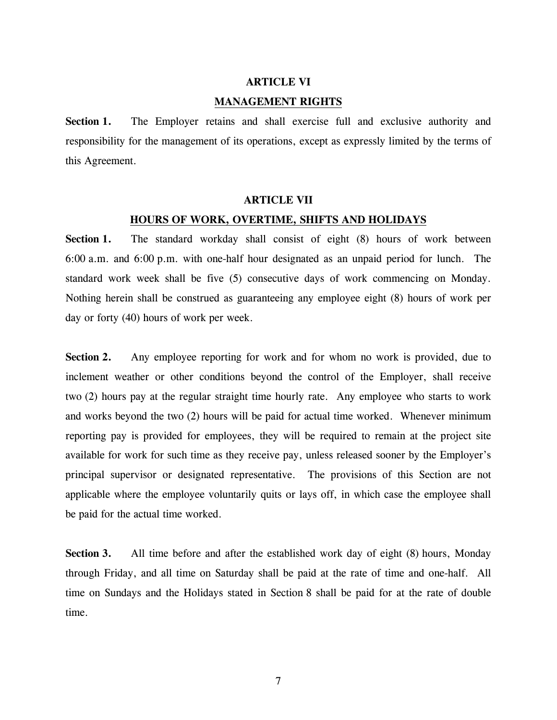## **ARTICLE VI MANAGEMENT RIGHTS**

**Section 1.** The Employer retains and shall exercise full and exclusive authority and responsibility for the management of its operations, except as expressly limited by the terms of this Agreement.

#### **ARTICLE VII**

#### **HOURS OF WORK, OVERTIME, SHIFTS AND HOLIDAYS**

**Section 1.** The standard workday shall consist of eight (8) hours of work between 6:00 a.m. and 6:00 p.m. with one-half hour designated as an unpaid period for lunch. The standard work week shall be five (5) consecutive days of work commencing on Monday. Nothing herein shall be construed as guaranteeing any employee eight (8) hours of work per day or forty (40) hours of work per week.

**Section 2.** Any employee reporting for work and for whom no work is provided, due to inclement weather or other conditions beyond the control of the Employer, shall receive two (2) hours pay at the regular straight time hourly rate. Any employee who starts to work and works beyond the two (2) hours will be paid for actual time worked. Whenever minimum reporting pay is provided for employees, they will be required to remain at the project site available for work for such time as they receive pay, unless released sooner by the Employer's principal supervisor or designated representative. The provisions of this Section are not applicable where the employee voluntarily quits or lays off, in which case the employee shall be paid for the actual time worked.

**Section 3.** All time before and after the established work day of eight (8) hours, Monday through Friday, and all time on Saturday shall be paid at the rate of time and one-half. All time on Sundays and the Holidays stated in Section 8 shall be paid for at the rate of double time.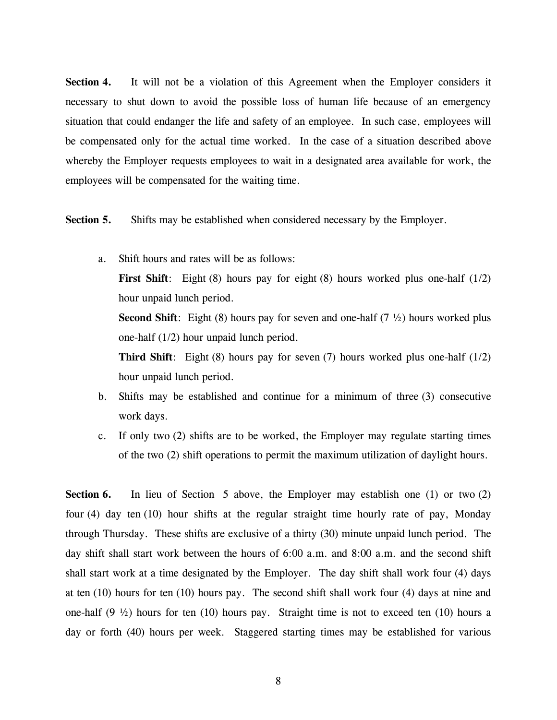**Section 4.** It will not be a violation of this Agreement when the Employer considers it necessary to shut down to avoid the possible loss of human life because of an emergency situation that could endanger the life and safety of an employee. In such case, employees will be compensated only for the actual time worked. In the case of a situation described above whereby the Employer requests employees to wait in a designated area available for work, the employees will be compensated for the waiting time.

**Section 5.** Shifts may be established when considered necessary by the Employer.

a. Shift hours and rates will be as follows:

**First Shift**: Eight (8) hours pay for eight (8) hours worked plus one-half (1/2) hour unpaid lunch period.

**Second Shift**: Eight (8) hours pay for seven and one-half (7  $\frac{1}{2}$ ) hours worked plus one-half (1/2) hour unpaid lunch period.

**Third Shift**: Eight (8) hours pay for seven (7) hours worked plus one-half (1/2) hour unpaid lunch period.

- b. Shifts may be established and continue for a minimum of three (3) consecutive work days.
- c. If only two (2) shifts are to be worked, the Employer may regulate starting times of the two (2) shift operations to permit the maximum utilization of daylight hours.

**Section 6.** In lieu of Section 5 above, the Employer may establish one (1) or two (2) four (4) day ten (10) hour shifts at the regular straight time hourly rate of pay, Monday through Thursday. These shifts are exclusive of a thirty (30) minute unpaid lunch period. The day shift shall start work between the hours of 6:00 a.m. and 8:00 a.m. and the second shift shall start work at a time designated by the Employer. The day shift shall work four (4) days at ten (10) hours for ten (10) hours pay. The second shift shall work four (4) days at nine and one-half  $(9 \frac{1}{2})$  hours for ten  $(10)$  hours pay. Straight time is not to exceed ten  $(10)$  hours a day or forth (40) hours per week. Staggered starting times may be established for various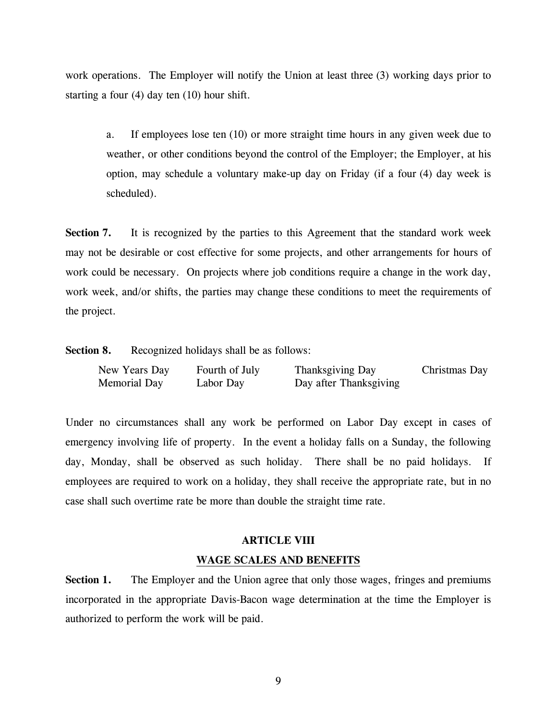work operations. The Employer will notify the Union at least three (3) working days prior to starting a four (4) day ten (10) hour shift.

a. If employees lose ten (10) or more straight time hours in any given week due to weather, or other conditions beyond the control of the Employer; the Employer, at his option, may schedule a voluntary make-up day on Friday (if a four (4) day week is scheduled).

**Section 7.** It is recognized by the parties to this Agreement that the standard work week may not be desirable or cost effective for some projects, and other arrangements for hours of work could be necessary. On projects where job conditions require a change in the work day, work week, and/or shifts, the parties may change these conditions to meet the requirements of the project.

**Section 8.** Recognized holidays shall be as follows:

| New Years Day | Fourth of July | Thanksgiving Day       | Christmas Day |
|---------------|----------------|------------------------|---------------|
| Memorial Day  | Labor Day      | Day after Thanksgiving |               |

Under no circumstances shall any work be performed on Labor Day except in cases of emergency involving life of property. In the event a holiday falls on a Sunday, the following day, Monday, shall be observed as such holiday. There shall be no paid holidays. If employees are required to work on a holiday, they shall receive the appropriate rate, but in no case shall such overtime rate be more than double the straight time rate.

#### **ARTICLE VIII**

#### **WAGE SCALES AND BENEFITS**

**Section 1.** The Employer and the Union agree that only those wages, fringes and premiums incorporated in the appropriate Davis-Bacon wage determination at the time the Employer is authorized to perform the work will be paid.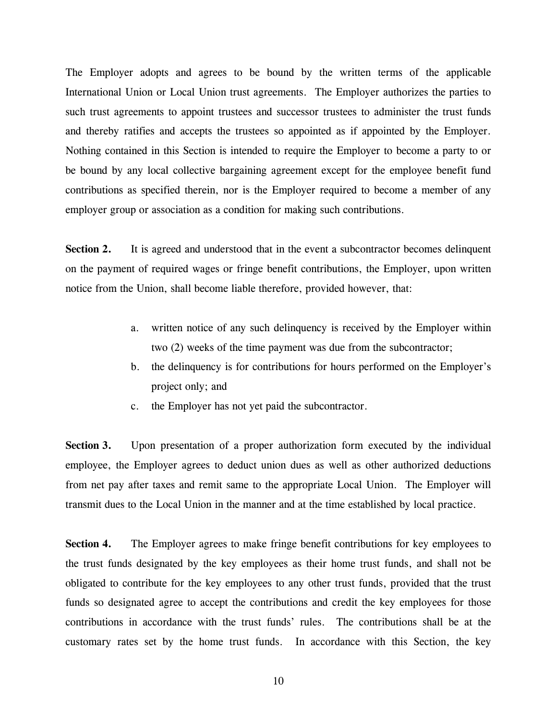The Employer adopts and agrees to be bound by the written terms of the applicable International Union or Local Union trust agreements. The Employer authorizes the parties to such trust agreements to appoint trustees and successor trustees to administer the trust funds and thereby ratifies and accepts the trustees so appointed as if appointed by the Employer. Nothing contained in this Section is intended to require the Employer to become a party to or be bound by any local collective bargaining agreement except for the employee benefit fund contributions as specified therein, nor is the Employer required to become a member of any employer group or association as a condition for making such contributions.

**Section 2.** It is agreed and understood that in the event a subcontractor becomes delinquent on the payment of required wages or fringe benefit contributions, the Employer, upon written notice from the Union, shall become liable therefore, provided however, that:

- a. written notice of any such delinquency is received by the Employer within two (2) weeks of the time payment was due from the subcontractor;
- b. the delinquency is for contributions for hours performed on the Employer's project only; and
- c. the Employer has not yet paid the subcontractor.

**Section 3.** Upon presentation of a proper authorization form executed by the individual employee, the Employer agrees to deduct union dues as well as other authorized deductions from net pay after taxes and remit same to the appropriate Local Union. The Employer will transmit dues to the Local Union in the manner and at the time established by local practice.

**Section 4.** The Employer agrees to make fringe benefit contributions for key employees to the trust funds designated by the key employees as their home trust funds, and shall not be obligated to contribute for the key employees to any other trust funds, provided that the trust funds so designated agree to accept the contributions and credit the key employees for those contributions in accordance with the trust funds' rules. The contributions shall be at the customary rates set by the home trust funds. In accordance with this Section, the key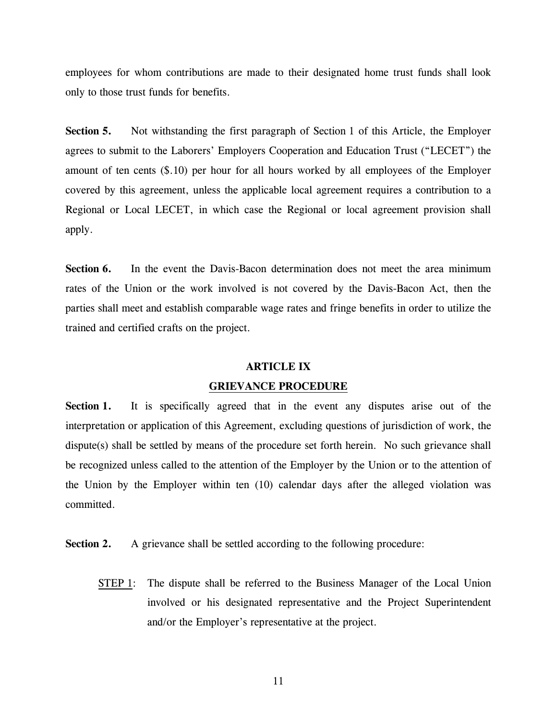employees for whom contributions are made to their designated home trust funds shall look only to those trust funds for benefits.

**Section 5.** Not withstanding the first paragraph of Section 1 of this Article, the Employer agrees to submit to the Laborers' Employers Cooperation and Education Trust ("LECET") the amount of ten cents (\$.10) per hour for all hours worked by all employees of the Employer covered by this agreement, unless the applicable local agreement requires a contribution to a Regional or Local LECET, in which case the Regional or local agreement provision shall apply.

**Section 6.** In the event the Davis-Bacon determination does not meet the area minimum rates of the Union or the work involved is not covered by the Davis-Bacon Act, then the parties shall meet and establish comparable wage rates and fringe benefits in order to utilize the trained and certified crafts on the project.

#### **ARTICLE IX**

#### **GRIEVANCE PROCEDURE**

**Section 1.** It is specifically agreed that in the event any disputes arise out of the interpretation or application of this Agreement, excluding questions of jurisdiction of work, the dispute(s) shall be settled by means of the procedure set forth herein. No such grievance shall be recognized unless called to the attention of the Employer by the Union or to the attention of the Union by the Employer within ten (10) calendar days after the alleged violation was committed.

**Section 2.** A grievance shall be settled according to the following procedure:

 STEP 1: The dispute shall be referred to the Business Manager of the Local Union involved or his designated representative and the Project Superintendent and/or the Employer's representative at the project.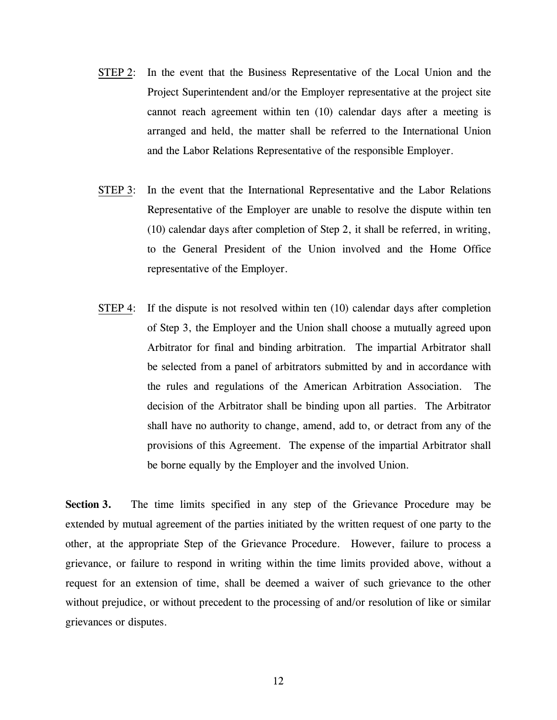- STEP 2: In the event that the Business Representative of the Local Union and the Project Superintendent and/or the Employer representative at the project site cannot reach agreement within ten (10) calendar days after a meeting is arranged and held, the matter shall be referred to the International Union and the Labor Relations Representative of the responsible Employer.
- STEP 3: In the event that the International Representative and the Labor Relations Representative of the Employer are unable to resolve the dispute within ten (10) calendar days after completion of Step 2, it shall be referred, in writing, to the General President of the Union involved and the Home Office representative of the Employer.
- STEP 4: If the dispute is not resolved within ten (10) calendar days after completion of Step 3, the Employer and the Union shall choose a mutually agreed upon Arbitrator for final and binding arbitration. The impartial Arbitrator shall be selected from a panel of arbitrators submitted by and in accordance with the rules and regulations of the American Arbitration Association. The decision of the Arbitrator shall be binding upon all parties. The Arbitrator shall have no authority to change, amend, add to, or detract from any of the provisions of this Agreement. The expense of the impartial Arbitrator shall be borne equally by the Employer and the involved Union.

**Section 3.** The time limits specified in any step of the Grievance Procedure may be extended by mutual agreement of the parties initiated by the written request of one party to the other, at the appropriate Step of the Grievance Procedure. However, failure to process a grievance, or failure to respond in writing within the time limits provided above, without a request for an extension of time, shall be deemed a waiver of such grievance to the other without prejudice, or without precedent to the processing of and/or resolution of like or similar grievances or disputes.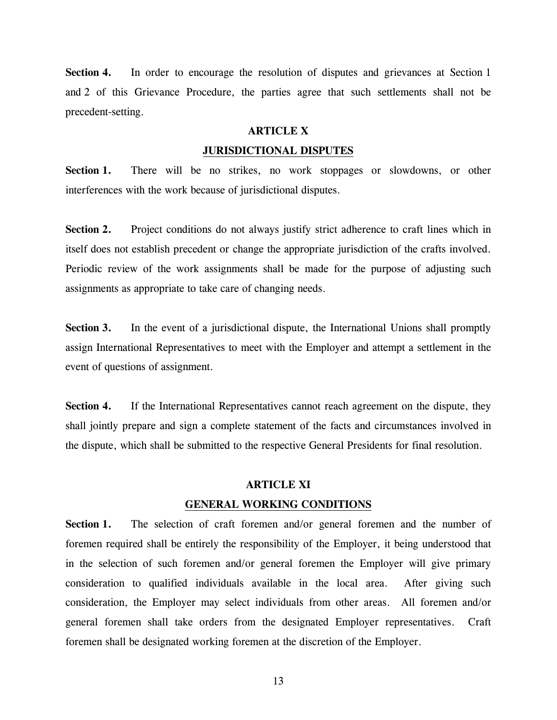**Section 4.** In order to encourage the resolution of disputes and grievances at Section 1 and 2 of this Grievance Procedure, the parties agree that such settlements shall not be precedent-setting.

#### **ARTICLE X**

#### **JURISDICTIONAL DISPUTES**

**Section 1.** There will be no strikes, no work stoppages or slowdowns, or other interferences with the work because of jurisdictional disputes.

Section 2. Project conditions do not always justify strict adherence to craft lines which in itself does not establish precedent or change the appropriate jurisdiction of the crafts involved. Periodic review of the work assignments shall be made for the purpose of adjusting such assignments as appropriate to take care of changing needs.

**Section 3.** In the event of a jurisdictional dispute, the International Unions shall promptly assign International Representatives to meet with the Employer and attempt a settlement in the event of questions of assignment.

**Section 4.** If the International Representatives cannot reach agreement on the dispute, they shall jointly prepare and sign a complete statement of the facts and circumstances involved in the dispute, which shall be submitted to the respective General Presidents for final resolution.

#### **ARTICLE XI**

#### **GENERAL WORKING CONDITIONS**

**Section 1.** The selection of craft foremen and/or general foremen and the number of foremen required shall be entirely the responsibility of the Employer, it being understood that in the selection of such foremen and/or general foremen the Employer will give primary consideration to qualified individuals available in the local area. After giving such consideration, the Employer may select individuals from other areas. All foremen and/or general foremen shall take orders from the designated Employer representatives. Craft foremen shall be designated working foremen at the discretion of the Employer.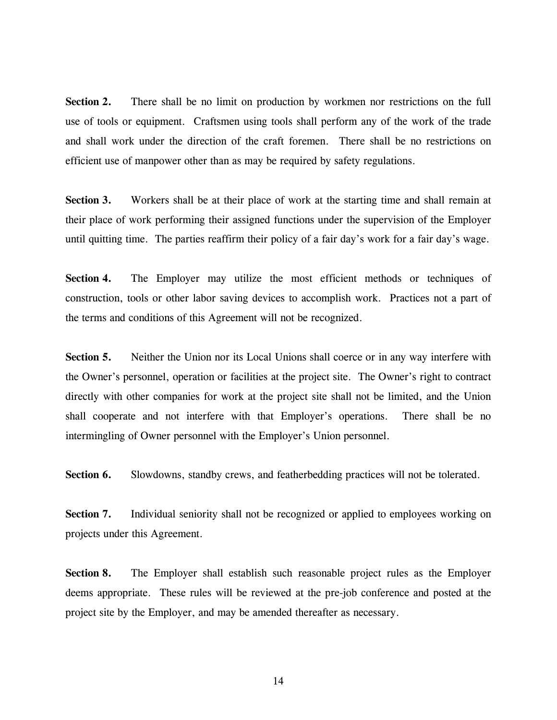**Section 2.** There shall be no limit on production by workmen nor restrictions on the full use of tools or equipment. Craftsmen using tools shall perform any of the work of the trade and shall work under the direction of the craft foremen. There shall be no restrictions on efficient use of manpower other than as may be required by safety regulations.

**Section 3.** Workers shall be at their place of work at the starting time and shall remain at their place of work performing their assigned functions under the supervision of the Employer until quitting time. The parties reaffirm their policy of a fair day's work for a fair day's wage.

**Section 4.** The Employer may utilize the most efficient methods or techniques of construction, tools or other labor saving devices to accomplish work. Practices not a part of the terms and conditions of this Agreement will not be recognized.

**Section 5.** Neither the Union nor its Local Unions shall coerce or in any way interfere with the Owner's personnel, operation or facilities at the project site. The Owner's right to contract directly with other companies for work at the project site shall not be limited, and the Union shall cooperate and not interfere with that Employer's operations. There shall be no intermingling of Owner personnel with the Employer's Union personnel.

Section 6. Slowdowns, standby crews, and featherbedding practices will not be tolerated.

**Section 7.** Individual seniority shall not be recognized or applied to employees working on projects under this Agreement.

**Section 8.** The Employer shall establish such reasonable project rules as the Employer deems appropriate. These rules will be reviewed at the pre-job conference and posted at the project site by the Employer, and may be amended thereafter as necessary.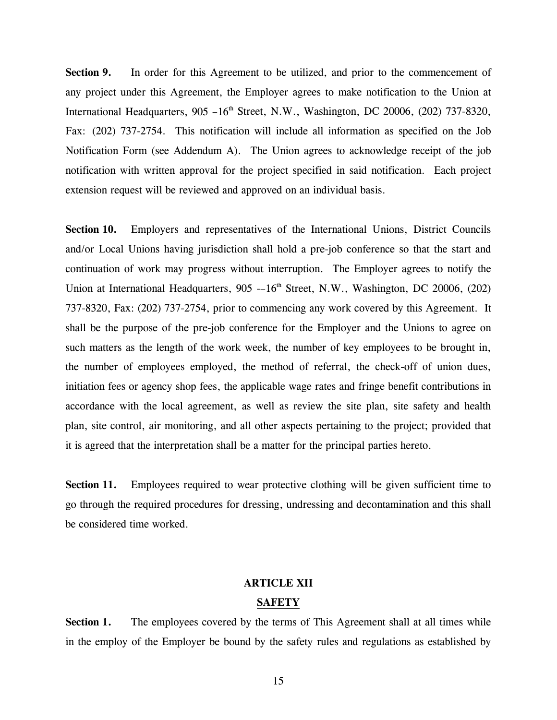Section 9. In order for this Agreement to be utilized, and prior to the commencement of any project under this Agreement, the Employer agrees to make notification to the Union at International Headquarters,  $905 - 16<sup>th</sup>$  Street, N.W., Washington, DC 20006, (202) 737-8320, Fax: (202) 737-2754. This notification will include all information as specified on the Job Notification Form (see Addendum A). The Union agrees to acknowledge receipt of the job notification with written approval for the project specified in said notification. Each project extension request will be reviewed and approved on an individual basis.

**Section 10.** Employers and representatives of the International Unions, District Councils and/or Local Unions having jurisdiction shall hold a pre-job conference so that the start and continuation of work may progress without interruption. The Employer agrees to notify the Union at International Headquarters, 905 --16<sup>th</sup> Street, N.W., Washington, DC 20006, (202) 737-8320, Fax: (202) 737-2754, prior to commencing any work covered by this Agreement. It shall be the purpose of the pre-job conference for the Employer and the Unions to agree on such matters as the length of the work week, the number of key employees to be brought in, the number of employees employed, the method of referral, the check-off of union dues, initiation fees or agency shop fees, the applicable wage rates and fringe benefit contributions in accordance with the local agreement, as well as review the site plan, site safety and health plan, site control, air monitoring, and all other aspects pertaining to the project; provided that it is agreed that the interpretation shall be a matter for the principal parties hereto.

**Section 11.** Employees required to wear protective clothing will be given sufficient time to go through the required procedures for dressing, undressing and decontamination and this shall be considered time worked.

#### **ARTICLE XII**

#### **SAFETY**

**Section 1.** The employees covered by the terms of This Agreement shall at all times while in the employ of the Employer be bound by the safety rules and regulations as established by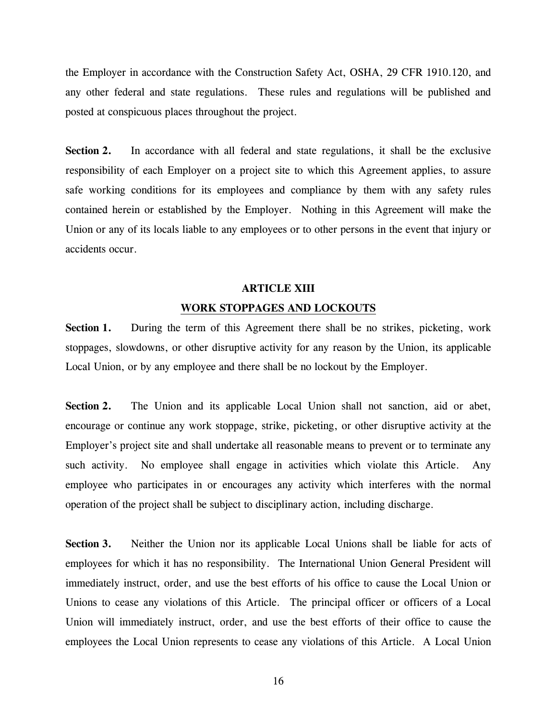the Employer in accordance with the Construction Safety Act, OSHA, 29 CFR 1910.120, and any other federal and state regulations. These rules and regulations will be published and posted at conspicuous places throughout the project.

**Section 2.** In accordance with all federal and state regulations, it shall be the exclusive responsibility of each Employer on a project site to which this Agreement applies, to assure safe working conditions for its employees and compliance by them with any safety rules contained herein or established by the Employer. Nothing in this Agreement will make the Union or any of its locals liable to any employees or to other persons in the event that injury or accidents occur.

#### **ARTICLE XIII**

#### **WORK STOPPAGES AND LOCKOUTS**

**Section 1.** During the term of this Agreement there shall be no strikes, picketing, work stoppages, slowdowns, or other disruptive activity for any reason by the Union, its applicable Local Union, or by any employee and there shall be no lockout by the Employer.

**Section 2.** The Union and its applicable Local Union shall not sanction, aid or abet, encourage or continue any work stoppage, strike, picketing, or other disruptive activity at the Employer's project site and shall undertake all reasonable means to prevent or to terminate any such activity. No employee shall engage in activities which violate this Article. Any employee who participates in or encourages any activity which interferes with the normal operation of the project shall be subject to disciplinary action, including discharge.

**Section 3.** Neither the Union nor its applicable Local Unions shall be liable for acts of employees for which it has no responsibility. The International Union General President will immediately instruct, order, and use the best efforts of his office to cause the Local Union or Unions to cease any violations of this Article. The principal officer or officers of a Local Union will immediately instruct, order, and use the best efforts of their office to cause the employees the Local Union represents to cease any violations of this Article. A Local Union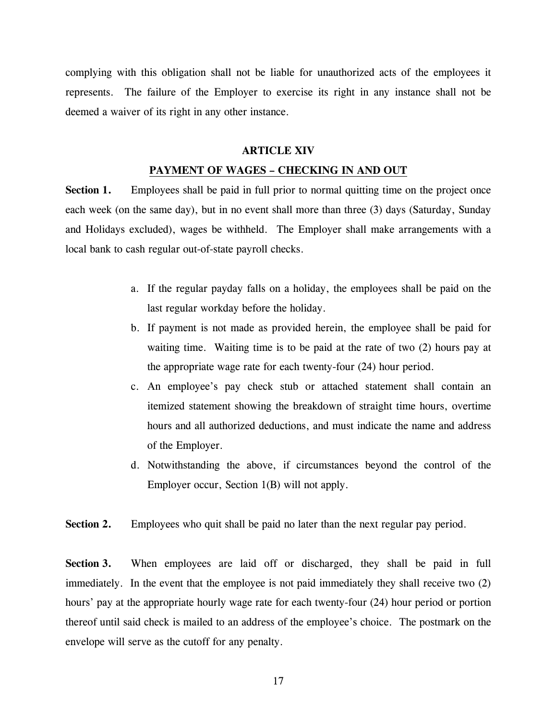complying with this obligation shall not be liable for unauthorized acts of the employees it represents. The failure of the Employer to exercise its right in any instance shall not be deemed a waiver of its right in any other instance.

#### **ARTICLE XIV**

#### **PAYMENT OF WAGES – CHECKING IN AND OUT**

**Section 1.** Employees shall be paid in full prior to normal quitting time on the project once each week (on the same day), but in no event shall more than three (3) days (Saturday, Sunday and Holidays excluded), wages be withheld. The Employer shall make arrangements with a local bank to cash regular out-of-state payroll checks.

- a. If the regular payday falls on a holiday, the employees shall be paid on the last regular workday before the holiday.
- b. If payment is not made as provided herein, the employee shall be paid for waiting time. Waiting time is to be paid at the rate of two (2) hours pay at the appropriate wage rate for each twenty-four (24) hour period.
- c. An employee's pay check stub or attached statement shall contain an itemized statement showing the breakdown of straight time hours, overtime hours and all authorized deductions, and must indicate the name and address of the Employer.
- d. Notwithstanding the above, if circumstances beyond the control of the Employer occur, Section 1(B) will not apply.

**Section 2.** Employees who quit shall be paid no later than the next regular pay period.

**Section 3.** When employees are laid off or discharged, they shall be paid in full immediately. In the event that the employee is not paid immediately they shall receive two (2) hours' pay at the appropriate hourly wage rate for each twenty-four (24) hour period or portion thereof until said check is mailed to an address of the employee's choice. The postmark on the envelope will serve as the cutoff for any penalty.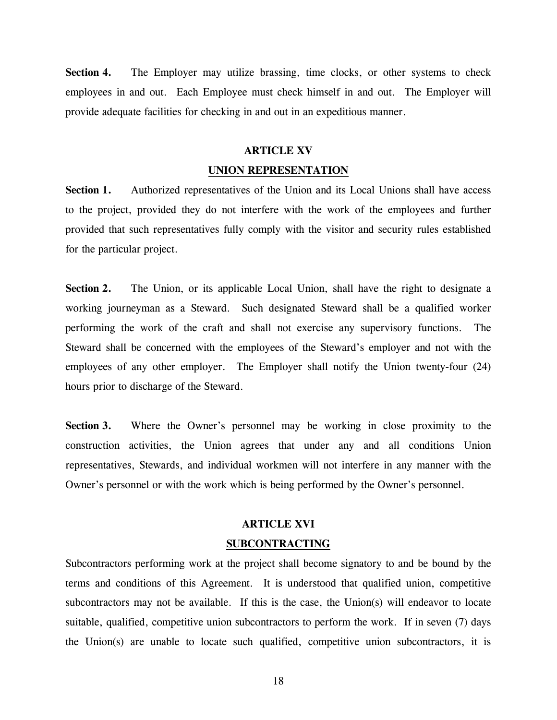**Section 4.** The Employer may utilize brassing, time clocks, or other systems to check employees in and out. Each Employee must check himself in and out. The Employer will provide adequate facilities for checking in and out in an expeditious manner.

#### **ARTICLE XV**

#### **UNION REPRESENTATION**

Section 1. Authorized representatives of the Union and its Local Unions shall have access to the project, provided they do not interfere with the work of the employees and further provided that such representatives fully comply with the visitor and security rules established for the particular project.

**Section 2.** The Union, or its applicable Local Union, shall have the right to designate a working journeyman as a Steward. Such designated Steward shall be a qualified worker performing the work of the craft and shall not exercise any supervisory functions. The Steward shall be concerned with the employees of the Steward's employer and not with the employees of any other employer. The Employer shall notify the Union twenty-four (24) hours prior to discharge of the Steward.

**Section 3.** Where the Owner's personnel may be working in close proximity to the construction activities, the Union agrees that under any and all conditions Union representatives, Stewards, and individual workmen will not interfere in any manner with the Owner's personnel or with the work which is being performed by the Owner's personnel.

#### **ARTICLE XVI**

#### **SUBCONTRACTING**

Subcontractors performing work at the project shall become signatory to and be bound by the terms and conditions of this Agreement. It is understood that qualified union, competitive subcontractors may not be available. If this is the case, the Union(s) will endeavor to locate suitable, qualified, competitive union subcontractors to perform the work. If in seven (7) days the Union(s) are unable to locate such qualified, competitive union subcontractors, it is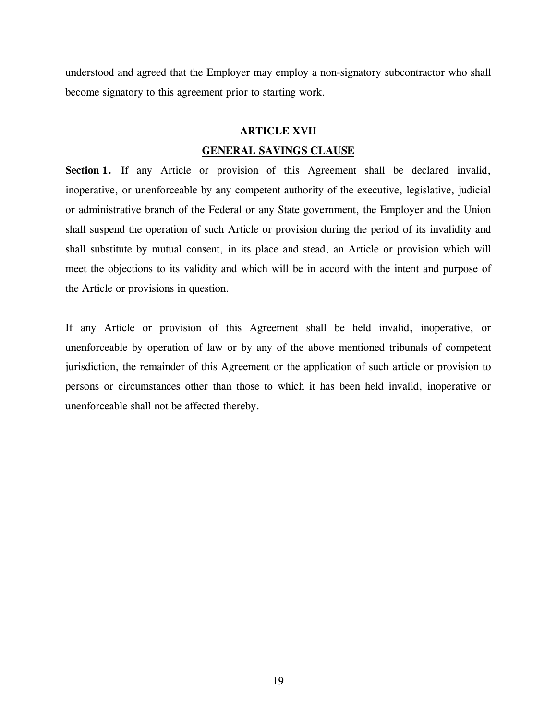understood and agreed that the Employer may employ a non-signatory subcontractor who shall become signatory to this agreement prior to starting work.

#### **ARTICLE XVII**

#### **GENERAL SAVINGS CLAUSE**

Section 1. If any Article or provision of this Agreement shall be declared invalid, inoperative, or unenforceable by any competent authority of the executive, legislative, judicial or administrative branch of the Federal or any State government, the Employer and the Union shall suspend the operation of such Article or provision during the period of its invalidity and shall substitute by mutual consent, in its place and stead, an Article or provision which will meet the objections to its validity and which will be in accord with the intent and purpose of the Article or provisions in question.

If any Article or provision of this Agreement shall be held invalid, inoperative, or unenforceable by operation of law or by any of the above mentioned tribunals of competent jurisdiction, the remainder of this Agreement or the application of such article or provision to persons or circumstances other than those to which it has been held invalid, inoperative or unenforceable shall not be affected thereby.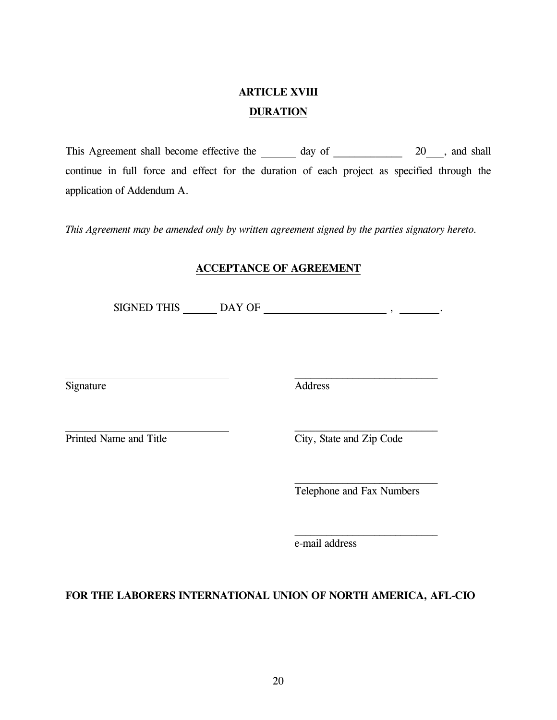## **ARTICLE XVIII DURATION**

This Agreement shall become effective the day of  $20$ , and shall continue in full force and effect for the duration of each project as specified through the application of Addendum A.

*This Agreement may be amended only by written agreement signed by the parties signatory hereto.* 

### **ACCEPTANCE OF AGREEMENT**

SIGNED THIS  $\_\_\_\_\_\_\_\_\_\_\_\_\_\_\_\_\_\_$ 

 $\mathcal{L}_\text{max}$  and  $\mathcal{L}_\text{max}$  and  $\mathcal{L}_\text{max}$  and  $\mathcal{L}_\text{max}$  and  $\mathcal{L}_\text{max}$ 

Signature Address

Printed Name and Title City, State and Zip Code

Telephone and Fax Numbers

e-mail address

**FOR THE LABORERS INTERNATIONAL UNION OF NORTH AMERICA, AFL-CIO**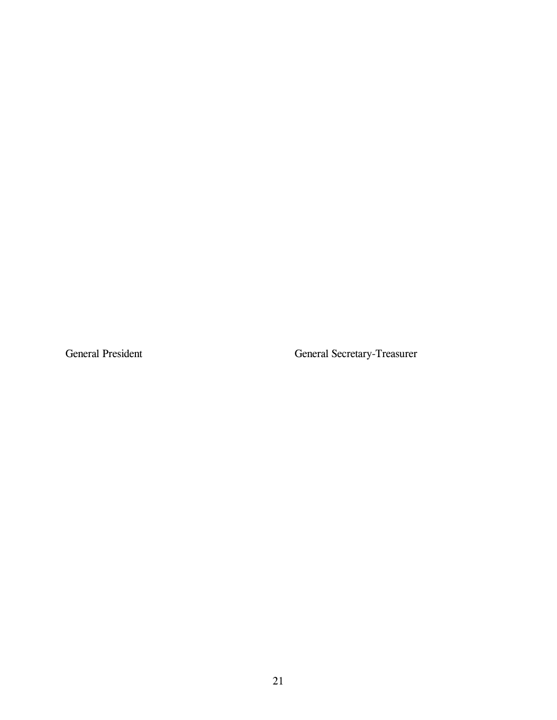General President General Secretary-Treasurer